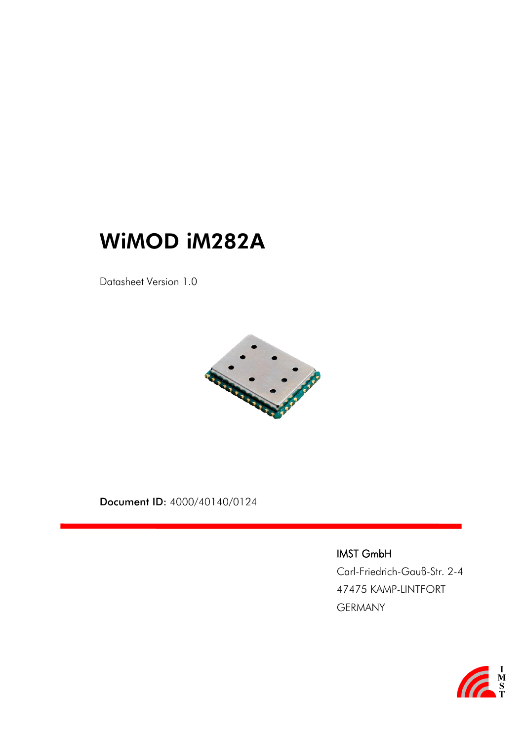# WiMOD iM282A

Datasheet Version 1.0



Document ID: 4000/40140/0124

IMST GmbH

Carl-Friedrich-Gauß-Str. 2-4 47475 KAMP-LINTFORT GERMANY

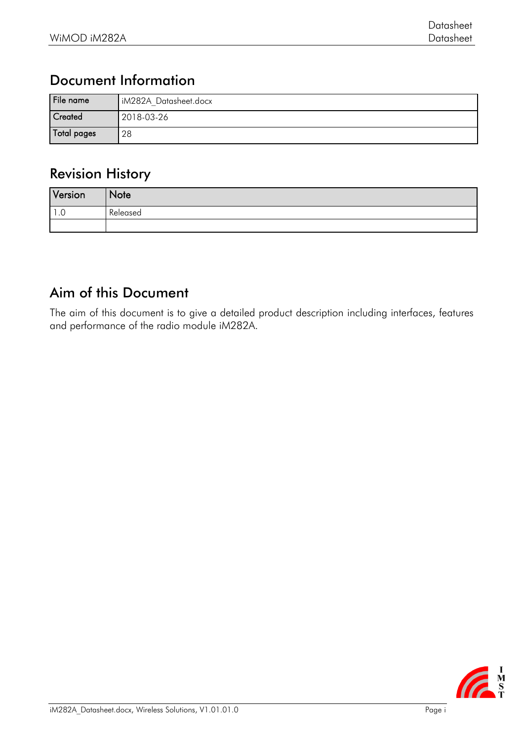#### Document Information

| File name      | iM282A Datasheet.docx |
|----------------|-----------------------|
| <b>Created</b> | 2018-03-26            |
| Total pages    | 28                    |

#### Revision History

| Version | Note     |
|---------|----------|
| . .     | Released |
|         |          |

#### Aim of this Document

The aim of this document is to give a detailed product description including interfaces, features and performance of the radio module iM282A.

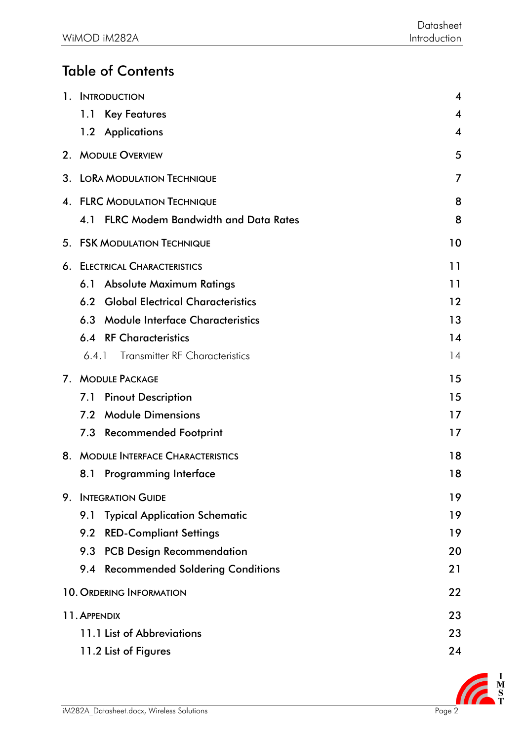## Table of Contents

| $1_{\cdot}$    | <b>INTRODUCTION</b>                               | 4  |
|----------------|---------------------------------------------------|----|
|                | 1.1<br><b>Key Features</b>                        | 4  |
|                | 1.2 Applications                                  | 4  |
|                | 2. MODULE OVERVIEW                                | 5  |
|                | 3. LORA MODULATION TECHNIQUE                      | 7  |
|                | 4. FLRC MODULATION TECHNIQUE                      | 8  |
|                | <b>FLRC Modem Bandwidth and Data Rates</b><br>4.1 | 8  |
| 5.             | <b>FSK MODULATION TECHNIQUE</b>                   | 10 |
| 6.             | <b>ELECTRICAL CHARACTERISTICS</b>                 | 11 |
|                | <b>Absolute Maximum Ratings</b><br>6.1            | 11 |
|                | <b>Global Electrical Characteristics</b><br>6.2   | 12 |
|                | <b>Module Interface Characteristics</b><br>6.3    | 13 |
|                | <b>6.4 RF Characteristics</b>                     | 14 |
|                | <b>Transmitter RF Characteristics</b><br>6.4.1    | 14 |
| 7 <sub>1</sub> | <b>MODULE PACKAGE</b>                             | 15 |
|                | <b>Pinout Description</b><br>7.1                  | 15 |
|                | <b>Module Dimensions</b><br>7.2                   | 17 |
|                | <b>Recommended Footprint</b><br>7.3               | 17 |
| 8.             | <b>MODULE INTERFACE CHARACTERISTICS</b>           | 18 |
|                | 8.1<br>Programming Interface                      | 18 |
|                | 9. INTEGRATION GUIDE                              | 19 |
|                | <b>Typical Application Schematic</b><br>9.1       | 19 |
|                | 9.2 RED-Compliant Settings                        | 19 |
|                | 9.3 PCB Design Recommendation                     | 20 |
|                | 9.4 Recommended Soldering Conditions              | 21 |
|                | <b>10. ORDERING INFORMATION</b>                   | 22 |
|                | 11. APPENDIX                                      | 23 |
|                | 11.1 List of Abbreviations                        | 23 |
|                | 11.2 List of Figures                              | 24 |

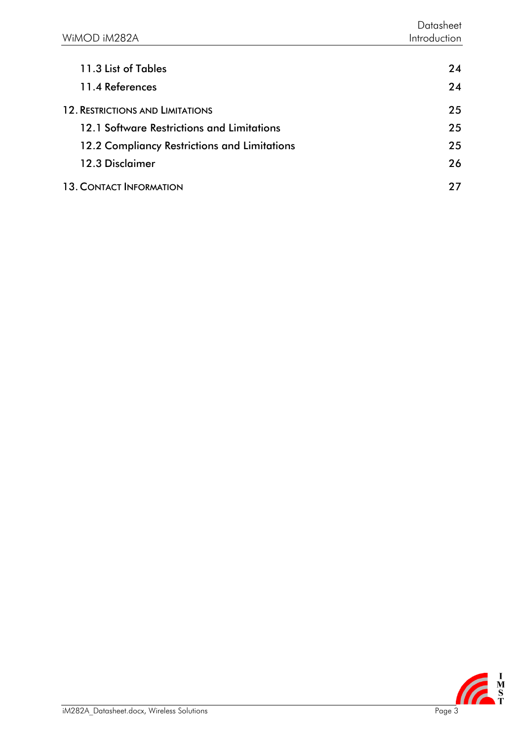| 24 |
|----|
| 24 |
| 25 |
| 25 |
| 25 |
| 26 |
| 77 |
|    |

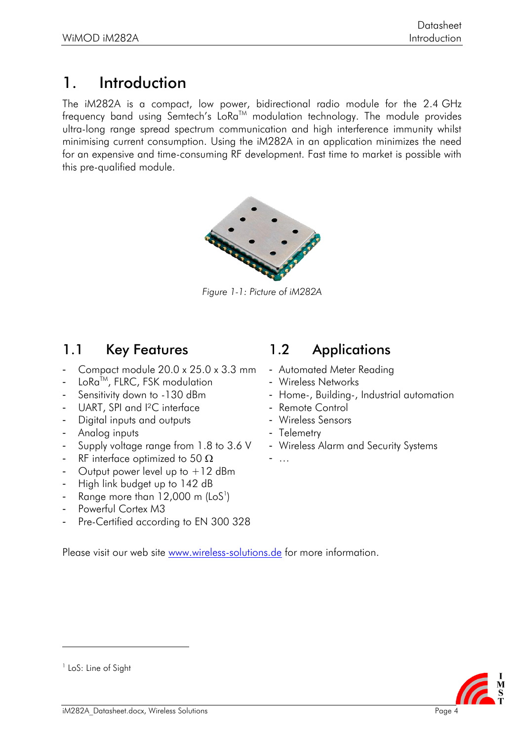## <span id="page-4-0"></span>1. Introduction

The iM282A is a compact, low power, bidirectional radio module for the 2.4 GHz frequency band using Semtech's LoRa<sup>TM</sup> modulation technology. The module provides ultra-long range spread spectrum communication and high interference immunity whilst minimising current consumption. Using the iM282A in an application minimizes the need for an expensive and time-consuming RF development. Fast time to market is possible with this pre-qualified module.



*Figure 1-1: Picture of iM282A*

#### <span id="page-4-1"></span>1.1 Key Features 1.2 Applications

- Compact module 20.0 x 25.0 x 3.3 mm
- LoRa™, FLRC, FSK modulation
- Sensitivity down to -130 dBm
- UART, SPI and <sup>2</sup>C interface
- Digital inputs and outputs
- Analog inputs
- Supply voltage range from 1.8 to 3.6 V
- RF interface optimized to 50  $\Omega$
- Output power level up to +12 dBm
- High link budget up to 142 dB
- $\,$  Range more than 12,000 m (LoS $^{\rm l}$ )
- Powerful Cortex M3
- Pre-Certified according to EN 300 328

- <span id="page-4-2"></span>- Automated Meter Reading
- Wireless Networks
- Home-, Building-, Industrial automation
- Remote Control
- Wireless Sensors
- Telemetry
- Wireless Alarm and Security Systems
- …

Please visit our web site [www.wireless-solutions.de](http://www.wireless-solutions.de/) for more information.



<sup>&</sup>lt;sup>1</sup> LoS: Line of Sight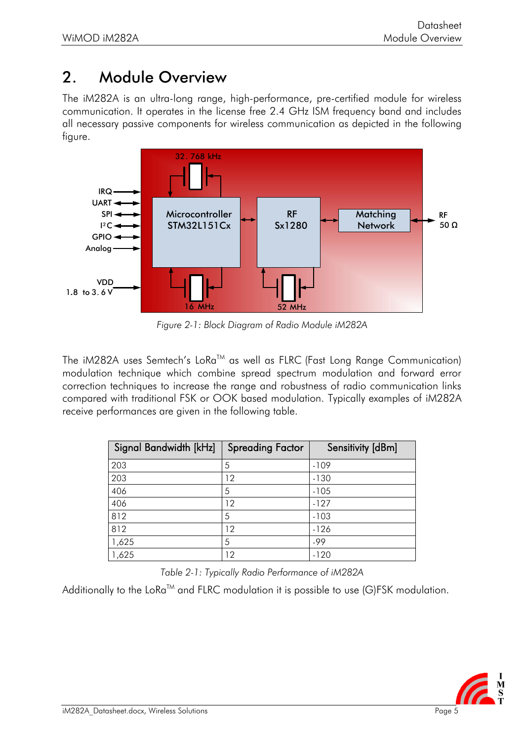## <span id="page-5-0"></span>2. Module Overview

The iM282A is an ultra-long range, high-performance, pre-certified module for wireless communication. It operates in the license free 2.4 GHz ISM frequency band and includes all necessary passive components for wireless communication as depicted in the following figure.



*Figure 2-1: Block Diagram of Radio Module iM282A*

The iM282A uses Semtech's LoRa™ as well as FLRC (Fast Long Range Communication) modulation technique which combine spread spectrum modulation and forward error correction techniques to increase the range and robustness of radio communication links compared with traditional FSK or OOK based modulation. Typically examples of iM282A receive performances are given in the following table.

| Signal Bandwidth [kHz] | <b>Spreading Factor</b> | Sensitivity [dBm] |
|------------------------|-------------------------|-------------------|
| 203                    | 5                       | $-109$            |
| 203                    | 12                      | $-130$            |
| 406                    | 5                       | $-105$            |
| 406                    | 12                      | $-127$            |
| 812                    | 5                       | $-103$            |
| 812                    | 12                      | $-126$            |
| 1,625                  | 5                       | -99               |
| 1,625                  | 12                      | $-120$            |

*Table 2-1: Typically Radio Performance of iM282A*

Additionally to the LoRa<sup>TM</sup> and FLRC modulation it is possible to use (G)FSK modulation.

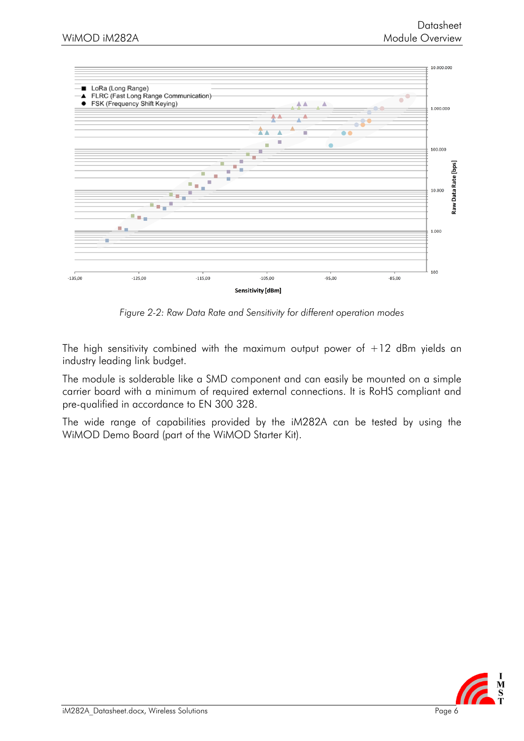

*Figure 2-2: Raw Data Rate and Sensitivity for different operation modes*

The high sensitivity combined with the maximum output power of  $+12$  dBm yields an industry leading link budget.

The module is solderable like a SMD component and can easily be mounted on a simple carrier board with a minimum of required external connections. It is RoHS compliant and pre-qualified in accordance to EN 300 328.

The wide range of capabilities provided by the iM282A can be tested by using the WiMOD Demo Board (part of the WiMOD Starter Kit).

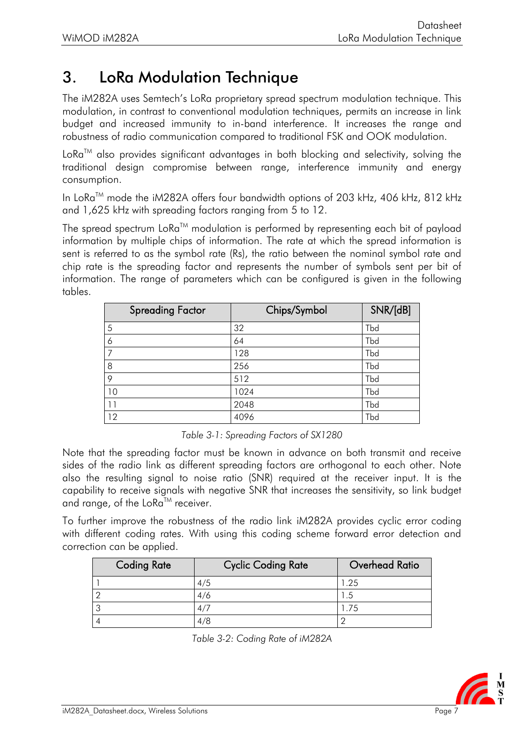## <span id="page-7-0"></span>3. LoRa Modulation Technique

The iM282A uses Semtech's LoRa proprietary spread spectrum modulation technique. This modulation, in contrast to conventional modulation techniques, permits an increase in link budget and increased immunity to in-band interference. It increases the range and robustness of radio communication compared to traditional FSK and OOK modulation.

 $LoRa^{TM}$  also provides significant advantages in both blocking and selectivity, solving the traditional design compromise between range, interference immunity and energy consumption.

In LoRa<sup>TM</sup> mode the iM282A offers four bandwidth options of 203 kHz, 406 kHz, 812 kHz and 1,625 kHz with spreading factors ranging from 5 to 12.

The spread spectrum  $L\circ Ra^{TM}$  modulation is performed by representing each bit of payload information by multiple chips of information. The rate at which the spread information is sent is referred to as the symbol rate (Rs), the ratio between the nominal symbol rate and chip rate is the spreading factor and represents the number of symbols sent per bit of information. The range of parameters which can be configured is given in the following tables.

| <b>Spreading Factor</b> | Chips/Symbol | SNR/[dB] |
|-------------------------|--------------|----------|
| 5                       | 32           | Tbd      |
| 6                       | 64           | Tbd      |
| ⇁                       | 128          | Tbd      |
| 8                       | 256          | Tbd      |
| 9                       | 512          | Tbd      |
| 10                      | 1024         | Tbd      |
| 11                      | 2048         | Tbd      |
| 12                      | 4096         | Tbd      |

*Table 3-1: Spreading Factors of SX1280*

Note that the spreading factor must be known in advance on both transmit and receive sides of the radio link as different spreading factors are orthogonal to each other. Note also the resulting signal to noise ratio (SNR) required at the receiver input. It is the capability to receive signals with negative SNR that increases the sensitivity, so link budget and range, of the LoRa™ receiver.

To further improve the robustness of the radio link iM282A provides cyclic error coding with different coding rates. With using this coding scheme forward error detection and correction can be applied.

| <b>Coding Rate</b> | <b>Cyclic Coding Rate</b> | Overhead Ratio |
|--------------------|---------------------------|----------------|
|                    | 4/5                       | l .25          |
|                    | 4/6                       | .5             |
|                    | 4/7                       | .75            |
|                    | 4/8                       |                |

| Table 3-2: Coding Rate of iM282A |  |
|----------------------------------|--|
|----------------------------------|--|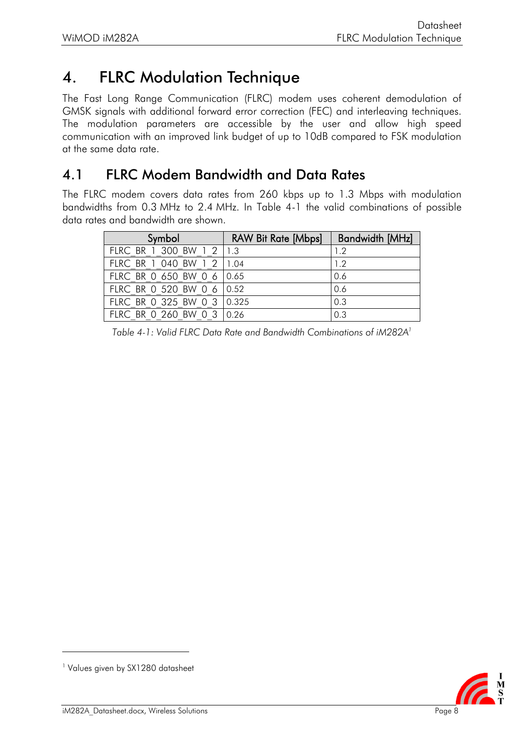## <span id="page-8-0"></span>4. FLRC Modulation Technique

The Fast Long Range Communication (FLRC) modem uses coherent demodulation of GMSK signals with additional forward error correction (FEC) and interleaving techniques. The modulation parameters are accessible by the user and allow high speed communication with an improved link budget of up to 10dB compared to FSK modulation at the same data rate.

#### <span id="page-8-1"></span>4.1 FLRC Modem Bandwidth and Data Rates

The FLRC modem covers data rates from 260 kbps up to 1.3 Mbps with modulation bandwidths from 0.3 MHz to 2.4 MHz. In [Table 4-1](#page-8-2) the valid combinations of possible data rates and bandwidth are shown.

| Symbol                     | <b>RAW Bit Rate [Mbps]</b> | <b>Bandwidth [MHz]</b> |
|----------------------------|----------------------------|------------------------|
| FLRC BR 1 300 BW 1 2 1.3   |                            | 1.2                    |
| FLRC BR 1 040 BW 1 2 1.04  |                            | 1.2                    |
| FLRC BR 0 650 BW 0 6 0.65  |                            | 0.6                    |
| FLRC BR 0 520 BW 0 6 0.52  |                            | 0.6                    |
| FLRC BR 0 325 BW 0 3 0.325 |                            | 0.3                    |
| FLRC BR 0 260 BW 0 3 0.26  |                            | 0.3                    |

<span id="page-8-2"></span>*Table 4-1: Valid FLRC Data Rate and Bandwidth Combinations of iM282A<sup>1</sup>*



<sup>&</sup>lt;sup>1</sup> Values given by SX1280 datasheet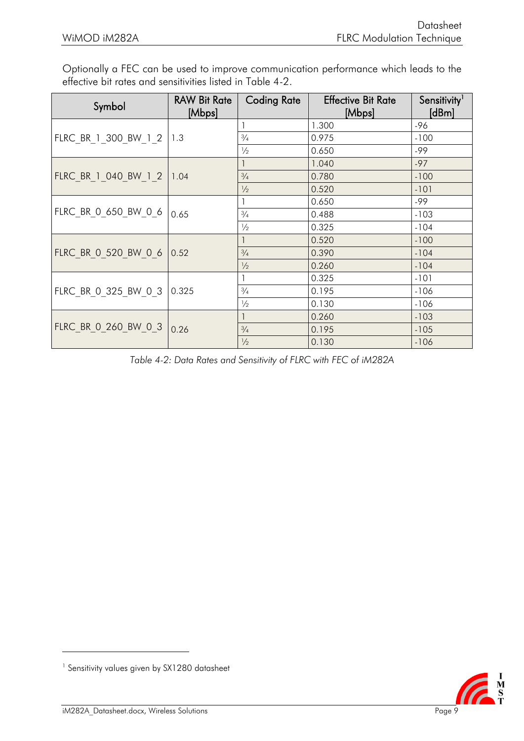Optionally a FEC can be used to improve communication performance which leads to the effective bit rates and sensitivities listed in [Table 4-2.](#page-9-0)

| Symbol                     | <b>RAW Bit Rate</b><br>[Mbps] | <b>Coding Rate</b> | <b>Effective Bit Rate</b><br>[Mbps] | Sensitivity <sup>1</sup><br>[dBm] |
|----------------------------|-------------------------------|--------------------|-------------------------------------|-----------------------------------|
|                            |                               |                    | 1.300                               | $-96$                             |
| FLRC BR 1 300 BW 1 2 1.3   |                               | $\frac{3}{4}$      | 0.975                               | $-100$                            |
|                            |                               | $\frac{1}{2}$      | 0.650                               | -99                               |
|                            |                               |                    | 1.040                               | $-97$                             |
| FLRC BR 1 040 BW 1 2 1.04  |                               | $\frac{3}{4}$      | 0.780                               | $-100$                            |
|                            |                               | $\frac{1}{2}$      | 0.520                               | $-101$                            |
|                            | 0.65                          |                    | 0.650                               | $-99$                             |
| FLRC BR 0 650 BW 0 6       |                               | $\frac{3}{4}$      | 0.488                               | $-103$                            |
|                            |                               | $\frac{1}{2}$      | 0.325                               | $-104$                            |
|                            |                               |                    | 0.520                               | $-100$                            |
| FLRC BR 0 520 BW 0 6       | 0.52                          | $\frac{3}{4}$      | 0.390                               | $-104$                            |
|                            |                               | $\frac{1}{2}$      | 0.260                               | $-104$                            |
|                            |                               |                    | 0.325                               | $-101$                            |
| FLRC BR 0 325 BW 0 3 0.325 |                               | $\frac{3}{4}$      | 0.195                               | $-106$                            |
|                            |                               | $\frac{1}{2}$      | 0.130                               | $-106$                            |
|                            |                               |                    | 0.260                               | $-103$                            |
| FLRC BR 0 260 BW 0 3       | 0.26                          | $\frac{3}{4}$      | 0.195                               | $-105$                            |
|                            |                               | $\frac{1}{2}$      | 0.130                               | $-106$                            |

<span id="page-9-0"></span>*Table 4-2: Data Rates and Sensitivity of FLRC with FEC of iM282A*



<sup>1</sup> Sensitivity values given by SX1280 datasheet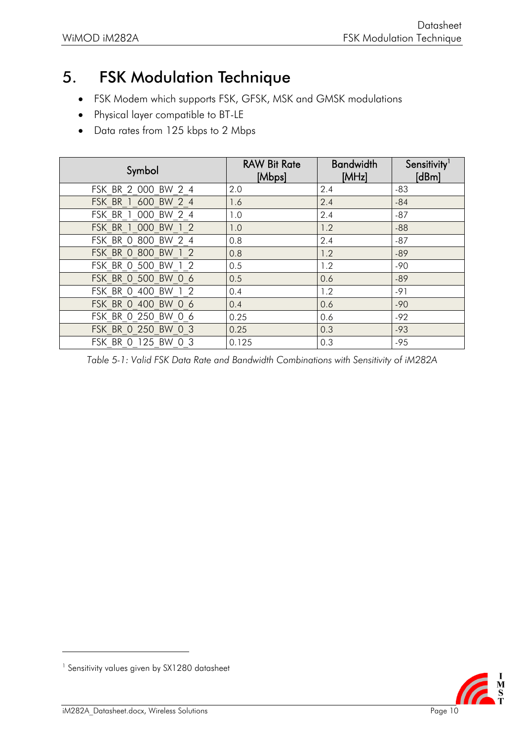## <span id="page-10-0"></span>5. FSK Modulation Technique

- FSK Modem which supports FSK, GFSK, MSK and GMSK modulations
- Physical layer compatible to BT-LE
- Data rates from 125 kbps to 2 Mbps

| Symbol              | <b>RAW Bit Rate</b><br>[Mbps] | <b>Bandwidth</b><br>[MHz] | Sensitivity<br>$\lfloor dBm \rfloor$ |
|---------------------|-------------------------------|---------------------------|--------------------------------------|
| FSK BR 2 000 BW 2 4 | 2.0                           | 2.4                       | $-83$                                |
| FSK BR 1 600 BW 2 4 | 1.6                           | 2.4                       | $-84$                                |
| FSK BR 1 000 BW 2 4 | 1.0                           | 2.4                       | $-87$                                |
| FSK BR 1 000 BW 1 2 | 1.0                           | 1.2                       | $-88$                                |
| FSK BR 0 800 BW 2 4 | 0.8                           | 2.4                       | $-87$                                |
| FSK BR 0 800 BW 1 2 | 0.8                           | 1.2                       | $-89$                                |
| FSK BR 0 500 BW 1 2 | 0.5                           | 1.2                       | $-90$                                |
| FSK BR 0 500 BW 0 6 | 0.5                           | 0.6                       | $-89$                                |
| FSK BR 0 400 BW 1 2 | 0.4                           | 1.2                       | $-91$                                |
| FSK BR 0 400 BW 0 6 | 0.4                           | 0.6                       | $-90$                                |
| FSK BR 0 250 BW 0 6 | 0.25                          | 0.6                       | $-92$                                |
| FSK BR 0 250 BW 0 3 | 0.25                          | 0.3                       | $-93$                                |
| FSK BR 0 125 BW 0 3 | 0.125                         | 0.3                       | $-95$                                |

*Table 5-1: Valid FSK Data Rate and Bandwidth Combinations with Sensitivity of iM282A*

**CERT**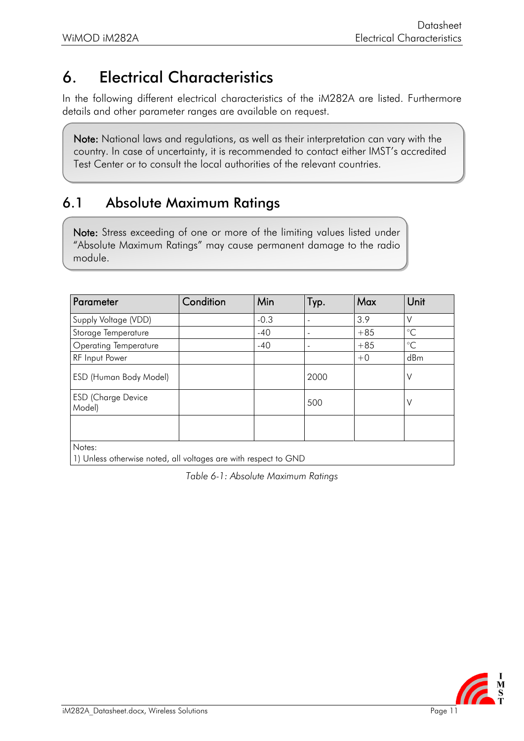## <span id="page-11-0"></span>6. Electrical Characteristics

In the following different electrical characteristics of the iM282A are listed. Furthermore details and other parameter ranges are available on request.

Note: National laws and regulations, as well as their interpretation can vary with the country. In case of uncertainty, it is recommended to contact either IMST's accredited Test Center or to consult the local authorities of the relevant countries.

#### <span id="page-11-1"></span>6.1 Absolute Maximum Ratings

Note: Stress exceeding of one or more of the limiting values listed under "Absolute Maximum Ratings" may cause permanent damage to the radio module.

| Parameter                                                       | Condition | Min    | Typ.           | Max   | Unit            |
|-----------------------------------------------------------------|-----------|--------|----------------|-------|-----------------|
| Supply Voltage (VDD)                                            |           | $-0.3$ | ٠              | 3.9   | V               |
| Storage Temperature                                             |           | $-40$  | $\overline{a}$ | $+85$ | $\rm ^{\circ}C$ |
| <b>Operating Temperature</b>                                    |           | $-40$  | ۰              | $+85$ | $\rm ^{\circ}C$ |
| <b>RF</b> Input Power                                           |           |        |                | $+0$  | dBm             |
| <b>ESD (Human Body Model)</b>                                   |           |        | 2000           |       | V               |
| <b>ESD (Charge Device</b><br>Model)                             |           |        | 500            |       | V               |
|                                                                 |           |        |                |       |                 |
| Notes:                                                          |           |        |                |       |                 |
| 1) Unless otherwise noted, all voltages are with respect to GND |           |        |                |       |                 |

*Table 6-1: Absolute Maximum Ratings*

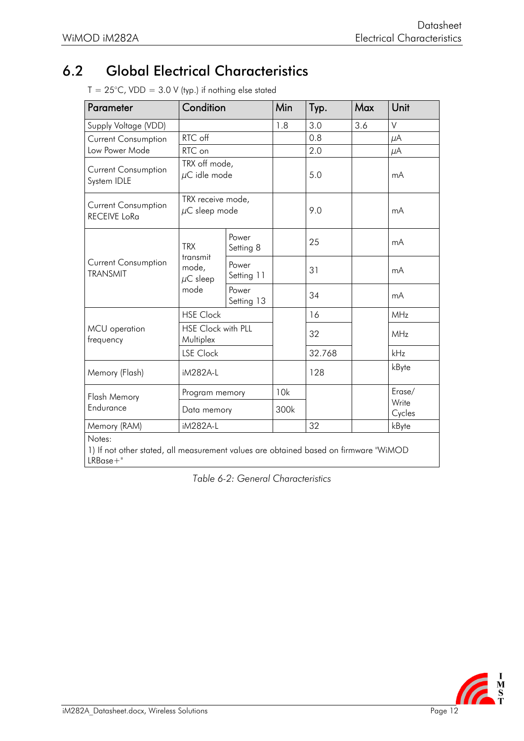## <span id="page-12-0"></span>6.2 Global Electrical Characteristics

 $T = 25^{\circ}$ C, VDD = 3.0 V (typ.) if nothing else stated

| Parameter                                                                                                     | Condition                               |                                    | Min  | Typ.   | Max | Unit            |
|---------------------------------------------------------------------------------------------------------------|-----------------------------------------|------------------------------------|------|--------|-----|-----------------|
| Supply Voltage (VDD)                                                                                          |                                         |                                    |      | 3.0    | 3.6 | V               |
| <b>Current Consumption</b>                                                                                    | RTC off                                 |                                    |      | 0.8    |     | $\mu$ A         |
| Low Power Mode                                                                                                | RTC on                                  |                                    |      | 2.0    |     | μA              |
| <b>Current Consumption</b><br>System IDLE                                                                     |                                         | TRX off mode,<br>$\mu$ C idle mode |      | 5.0    |     | mA              |
| <b>Current Consumption</b><br><b>RECEIVE LoRa</b>                                                             | TRX receive mode,<br>$\mu$ C sleep mode |                                    |      | 9.0    |     | mA              |
| <b>Current Consumption</b><br><b>TRANSMIT</b>                                                                 | <b>TRX</b>                              | Power<br>Setting 8                 |      | 25     |     | mA              |
|                                                                                                               | transmit<br>mode,<br>$\mu$ C sleep      | Power<br>Setting 11                |      | 31     |     | mA              |
|                                                                                                               | mode                                    | Power<br>Setting 13                |      | 34     |     | mA              |
|                                                                                                               | <b>HSE Clock</b>                        |                                    |      | 16     |     | MHz             |
| HSE Clock with PLL<br>MCU operation<br>Multiplex<br>frequency                                                 |                                         |                                    | 32   |        | MHz |                 |
|                                                                                                               | <b>LSE Clock</b>                        |                                    |      | 32.768 |     | kHz             |
| Memory (Flash)                                                                                                | iM282A-L                                |                                    |      | 128    |     | kByte           |
| <b>Flash Memory</b>                                                                                           | Program memory<br>Data memory           |                                    | 10k  |        |     | Erase/          |
| Endurance                                                                                                     |                                         |                                    | 300k |        |     | Write<br>Cycles |
| Memory (RAM)                                                                                                  | iM282A-L                                |                                    |      | 32     |     | kByte           |
| Notes:<br>1) If not other stated, all measurement values are obtained based on firmware "WiMOD<br>$LRBase+$ " |                                         |                                    |      |        |     |                 |

*Table 6-2: General Characteristics*

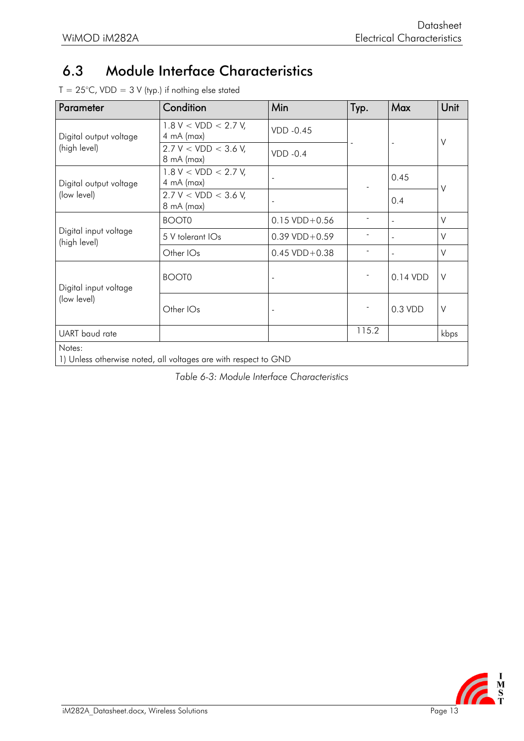## <span id="page-13-0"></span>6.3 Module Interface Characteristics

| $T = 25^{\circ}$ C, VDD = 3 V (typ.) if nothing else stated |  |  |  |  |  |  |  |  |  |
|-------------------------------------------------------------|--|--|--|--|--|--|--|--|--|
|-------------------------------------------------------------|--|--|--|--|--|--|--|--|--|

| Parameter                             | Condition                                                       | Min                       | Typ.  | Max       | Unit   |
|---------------------------------------|-----------------------------------------------------------------|---------------------------|-------|-----------|--------|
| Digital output voltage                | $1.8 V < VDD < 2.7 V$ ,<br>$4 \text{ mA}$ (max)                 | VDD -0.45<br>$VDD -0.4$   |       |           | $\vee$ |
| (high level)                          | 2.7 V < VDD < 3.6 V,<br>8 mA (max)                              |                           |       |           |        |
| Digital output voltage                | $1.8 V < VDD < 2.7 V$ ,<br>$4 \text{ mA}$ (max)                 |                           |       | 0.45      | ٧      |
| (low level)                           | 2.7 V < VDD < 3.6 V,<br>8 mA (max)                              |                           |       | 0.4       |        |
|                                       | <b>BOOT0</b>                                                    | $0.15 \text{ VDD} + 0.56$ |       |           | V      |
| Digital input voltage<br>(high level) | 5 V tolerant IOs                                                | $0.39 \text{ VDD} + 0.59$ |       |           | $\vee$ |
|                                       | Other IOs                                                       | $0.45 \text{ VDD} + 0.38$ |       |           | $\vee$ |
| Digital input voltage<br>(low level)  | BOOT0                                                           |                           |       | 0.14 VDD  | V      |
|                                       | Other IOs                                                       |                           |       | $0.3$ VDD | $\vee$ |
| UART baud rate                        |                                                                 |                           | 115.2 |           | kbps   |
| Notes:                                |                                                                 |                           |       |           |        |
|                                       | 1) Unless otherwise noted, all voltages are with respect to GND |                           |       |           |        |

*Table 6-3: Module Interface Characteristics*

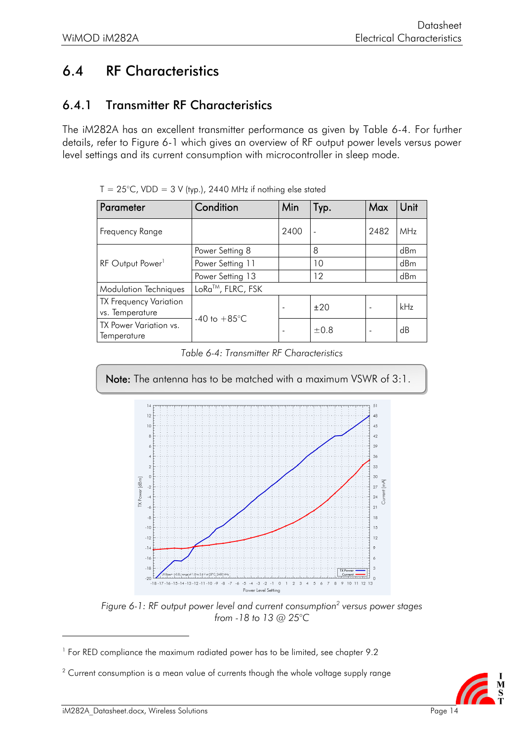## <span id="page-14-0"></span>6.4 RF Characteristics

#### <span id="page-14-1"></span>6.4.1 Transmitter RF Characteristics

The iM282A has an excellent transmitter performance as given by [Table 6-4.](#page-14-2) For further details, refer to [Figure](#page-14-3) 6-1 which gives an overview of RF output power levels versus power level settings and its current consumption with microcontroller in sleep mode.

| Parameter                                        | Condition                 | Min  | Typ.    | Max  | Unit       |
|--------------------------------------------------|---------------------------|------|---------|------|------------|
| Frequency Range                                  |                           | 2400 |         | 2482 | <b>MHz</b> |
|                                                  | Power Setting 8           |      | 8       |      | dBm        |
| RF Output Power <sup>1</sup>                     | Power Setting 11          |      | 10      |      | dBm        |
|                                                  | Power Setting 13          |      | $12 \,$ |      | dBm        |
| <b>Modulation Techniques</b>                     | LoRa™, FLRC, FSK          |      |         |      |            |
| <b>TX Frequency Variation</b><br>vs. Temperature | $-40$ to $+85^{\circ}$ C. |      | ±20     |      | kHz        |
| TX Power Variation vs.<br>Temperature            |                           |      | ±0.8    |      | dB         |

 $T = 25^{\circ}$ C, VDD = 3 V (typ.), 2440 MHz if nothing else stated

*Table 6-4: Transmitter RF Characteristics*

<span id="page-14-2"></span>

*Figure 6-1: RF output power level and current consumption<sup>2</sup> versus power stages from -18 to 13 @ 25°C*



<span id="page-14-3"></span>

<sup>&</sup>lt;sup>1</sup> For RED compliance the maximum radiated power has to be limited, see chapter [9.2](#page-19-2)

 $2$  Current consumption is a mean value of currents though the whole voltage supply range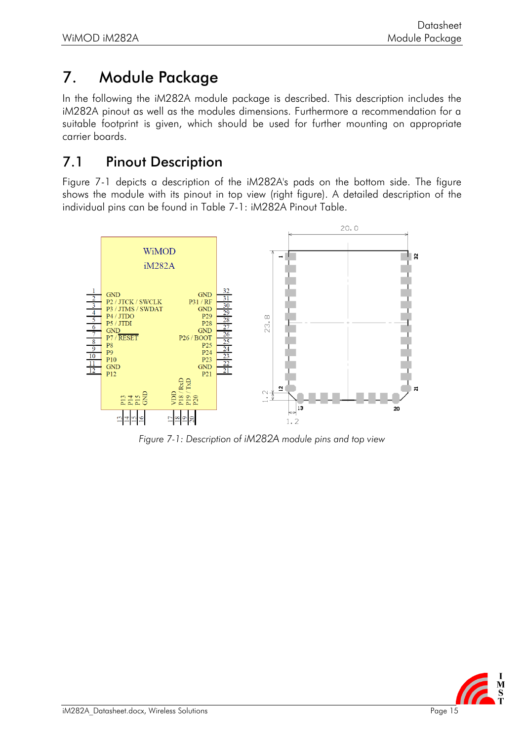## <span id="page-15-0"></span>7. Module Package

In the following the iM282A module package is described. This description includes the iM282A pinout as well as the modules dimensions. Furthermore a recommendation for a suitable footprint is given, which should be used for further mounting on appropriate carrier boards.

#### <span id="page-15-1"></span>7.1 Pinout Description

[Figure 7-1](#page-15-2) depicts a description of the iM282A's pads on the bottom side. The figure shows the module with its pinout in top view (right figure). A detailed description of the individual pins can be found in [Table 7-1: iM282A](#page-16-0) Pinout Table.



<span id="page-15-2"></span>*Figure 7-1: Description of iM282A module pins and top view*

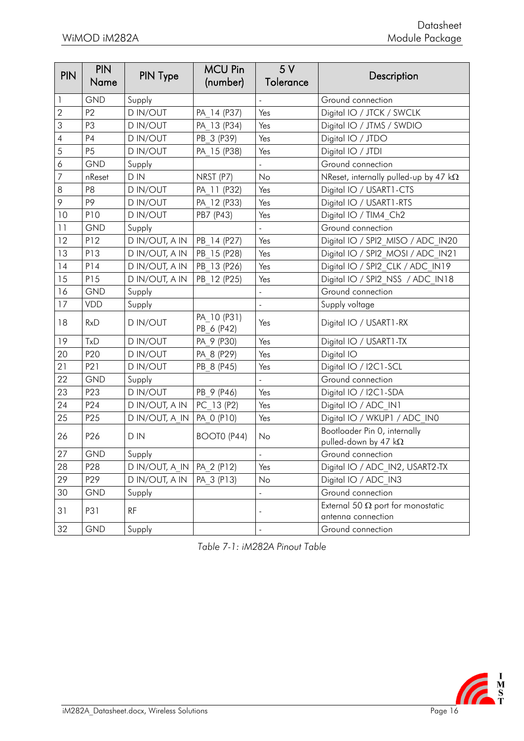| <b>PIN</b>       | <b>PIN</b><br>Name | PIN Type                    | <b>MCU Pin</b><br>(number) | 5V<br>Tolerance | Description                                                    |
|------------------|--------------------|-----------------------------|----------------------------|-----------------|----------------------------------------------------------------|
| 1                | <b>GND</b>         | Supply                      |                            |                 | Ground connection                                              |
| $\overline{2}$   | P <sub>2</sub>     | <b>DIN/OUT</b>              | PA 14 (P37)                | Yes             | Digital IO / JTCK / SWCLK                                      |
| 3                | P3                 | D IN/OUT                    | PA 13 (P34)                | Yes             | Digital IO / JTMS / SWDIO                                      |
| $\overline{4}$   | P <sub>4</sub>     | D IN/OUT                    | PB 3 (P39)                 | Yes             | Digital IO / JTDO                                              |
| 5                | P <sub>5</sub>     | D IN/OUT                    | PA 15 (P38)                | Yes             | Digital IO / JTDI                                              |
| $\acute{\rm{o}}$ | <b>GND</b>         | Supply                      |                            |                 | Ground connection                                              |
| $\overline{7}$   | nReset             | D IN                        | NRST (P7)                  | No              | NReset, internally pulled-up by 47 $k\Omega$                   |
| 8                | P8                 | D IN/OUT                    | PA 11 (P32)                | Yes             | Digital IO / USART1-CTS                                        |
| 9                | P <sub>9</sub>     | D IN/OUT                    | PA 12 (P33)                | Yes             | Digital IO / USART1-RTS                                        |
| 10               | P10                | D IN/OUT                    | PB7 (P43)                  | Yes             | Digital IO / TIM4 Ch2                                          |
| 11               | GND                | Supply                      |                            |                 | Ground connection                                              |
| 12               | P12                | D IN/OUT, A IN              | PB 14 (P27)                | Yes             | Digital IO / SPI2 MISO / ADC IN20                              |
| 13               | P13                | D IN/OUT, A IN              | PB 15 (P28)                | Yes             | Digital IO / SPI2 MOSI / ADC IN21                              |
| 14               | P14                | D IN/OUT, A IN              | PB 13 (P26)                | Yes             | Digital IO / SPI2 CLK / ADC IN19                               |
| 15               | P15                | D IN/OUT, A IN              | PB 12 (P25)                | Yes             | Digital IO / SPI2 NSS / ADC IN18                               |
| 16               | GND                | Supply                      |                            | $\Box$          | Ground connection                                              |
| 17               | VDD                | Supply                      |                            | $\overline{a}$  | Supply voltage                                                 |
| 18               | RxD                | D IN/OUT                    | PA 10 (P31)<br>PB 6 (P42)  | Yes             | Digital IO / USART1-RX                                         |
| 19               | TxD                | D IN/OUT                    | PA 9 (P30)                 | Yes             | Digital IO / USART1-TX                                         |
| 20               | P <sub>20</sub>    | D IN/OUT                    | PA 8 (P29)                 | Yes             | Digital IO                                                     |
| 21               | P21                | D IN/OUT                    | PB 8 (P45)                 | Yes             | Digital IO / I2C1-SCL                                          |
| 22               | <b>GND</b>         | Supply                      |                            |                 | Ground connection                                              |
| 23               | P23                | <b>DIN/OUT</b>              | PB 9 (P46)                 | Yes             | Digital IO / I2C1-SDA                                          |
| 24               | P <sub>24</sub>    | D IN/OUT, A IN              | PC 13 (P2)                 | Yes             | Digital IO / ADC_IN1                                           |
| 25               | P <sub>25</sub>    | D IN/OUT, A IN              | PA 0 (P10)                 | Yes             | Digital IO / WKUP1 / ADC IN0                                   |
| 26               | P <sub>26</sub>    | D IN                        | BOOTO (P44)                | No              | Bootloader Pin 0, internally<br>pulled-down by 47 $k\Omega$    |
| $27\,$           | GND                | Supply                      |                            |                 | Ground connection                                              |
| 28               | P <sub>28</sub>    | D IN/OUT, A IN   PA 2 (P12) |                            | Yes             | Digital IO / ADC IN2, USART2-TX                                |
| 29               | P <sub>29</sub>    | D IN/OUT, A IN              | PA 3 (P13)                 | No              | Digital IO / ADC IN3                                           |
| 30               | <b>GND</b>         | Supply                      |                            |                 | Ground connection                                              |
| 31               | P31                | RF                          |                            |                 | External 50 $\Omega$ port for monostatic<br>antenna connection |
| 32               | GND                | Supply                      |                            | $\frac{1}{2}$   | Ground connection                                              |

<span id="page-16-0"></span>*Table 7-1: iM282A Pinout Table*

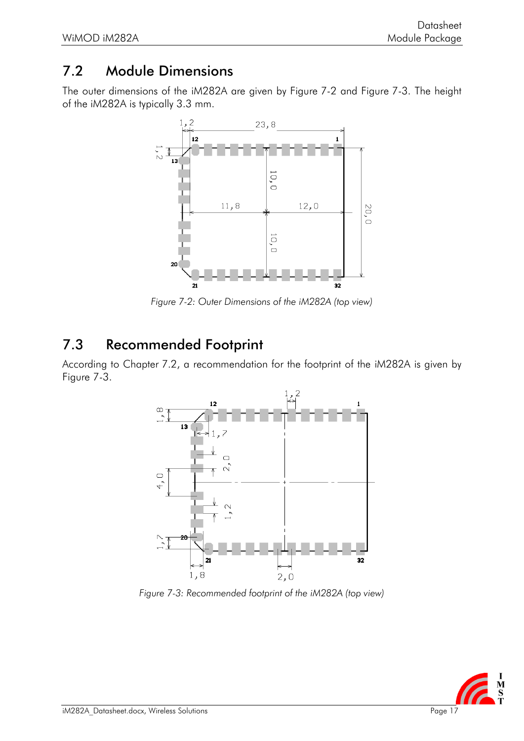#### <span id="page-17-0"></span>7.2 Module Dimensions

The outer dimensions of the iM282A are given by [Figure](#page-17-2) 7-2 and [Figure](#page-17-3) 7-3. The height of the iM282A is typically 3.3 mm.



*Figure 7-2: Outer Dimensions of the iM282A (top view)*

#### <span id="page-17-2"></span><span id="page-17-1"></span>7.3 Recommended Footprint

According to Chapter [7.2,](#page-17-0) a recommendation for the footprint of the iM282A is given by [Figure](#page-17-3) 7-3.



<span id="page-17-3"></span>*Figure 7-3: Recommended footprint of the iM282A (top view)*

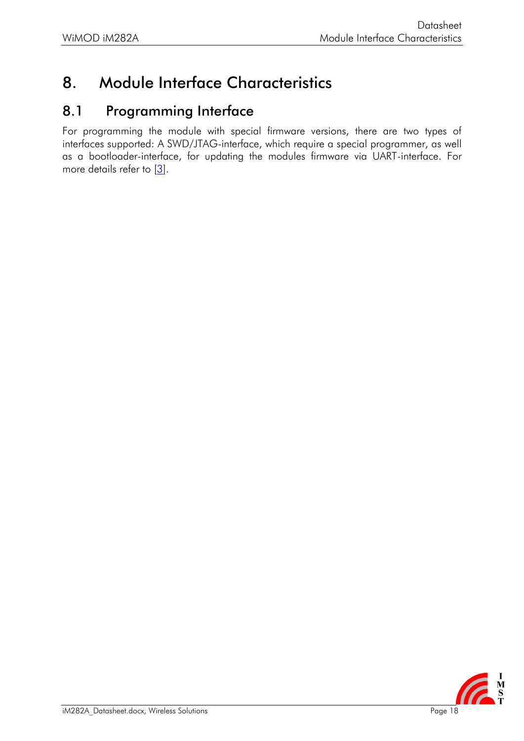## <span id="page-18-0"></span>8. Module Interface Characteristics

#### <span id="page-18-1"></span>8.1 Programming Interface

For programming the module with special firmware versions, there are two types of interfaces supported: A SWD/JTAG-interface, which require a special programmer, as well as a bootloader-interface, for updating the modules firmware via UART-interface. For more details refer to  $[3]$ .

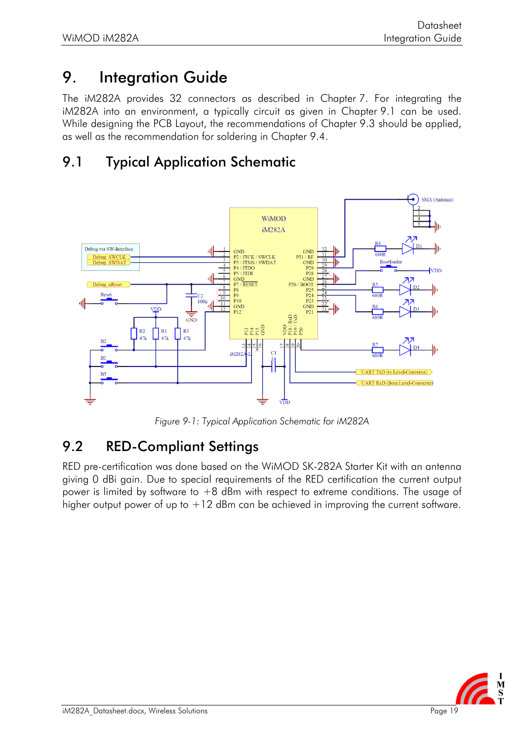## <span id="page-19-0"></span>9. Integration Guide

The iM282A provides 32 connectors as described in Chapter [7.](#page-15-0) For integrating the iM282A into an environment, a typically circuit as given in Chapter [9.1](#page-19-1) can be used. While designing the PCB Layout, the recommendations of Chapter [9.3](#page-20-0) should be applied, as well as the recommendation for soldering in Chapter [9.4.](#page-21-0)

#### <span id="page-19-1"></span>9.1 Typical Application Schematic



*Figure 9-1: Typical Application Schematic for iM282A*

#### <span id="page-19-2"></span>9.2 RED-Compliant Settings

RED pre-certification was done based on the WiMOD SK-282A Starter Kit with an antenna giving 0 dBi gain. Due to special requirements of the RED certification the current output power is limited by software to +8 dBm with respect to extreme conditions. The usage of higher output power of up to  $+12$  dBm can be achieved in improving the current software.

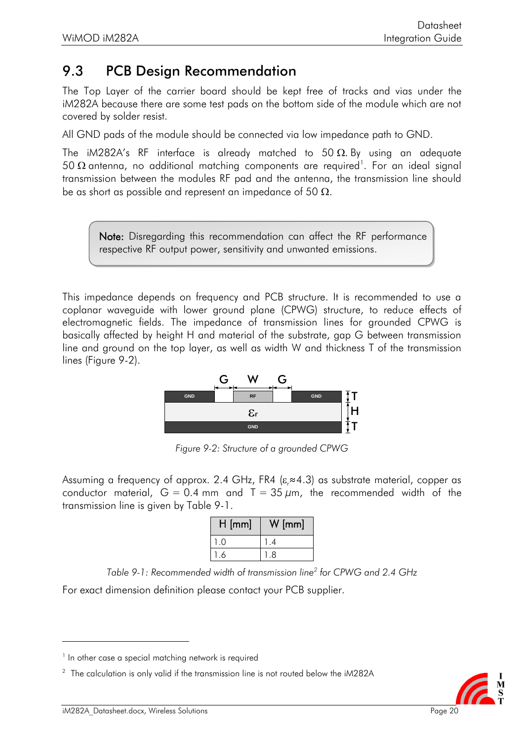#### <span id="page-20-0"></span>9.3 PCB Design Recommendation

The Top Layer of the carrier board should be kept free of tracks and vias under the iM282A because there are some test pads on the bottom side of the module which are not covered by solder resist.

All GND pads of the module should be connected via low impedance path to GND.

The iM282A's RF interface is already matched to 50  $\Omega$ . By using an adequate 50  $\Omega$  antenna, no additional matching components are required $^{\text{\tiny{l}}}$ . For an ideal signal transmission between the modules RF pad and the antenna, the transmission line should be as short as possible and represent an impedance of 50  $\Omega$ .

Note: Disregarding this recommendation can affect the RF performance respective RF output power, sensitivity and unwanted emissions.

This impedance depends on frequency and PCB structure. It is recommended to use a coplanar waveguide with lower ground plane (CPWG) structure, to reduce effects of electromagnetic fields. The impedance of transmission lines for grounded CPWG is basically affected by height H and material of the substrate, gap G between transmission line and ground on the top layer, as well as width W and thickness T of the transmission lines [\(Figure](#page-20-1) 9-2).



*Figure 9-2: Structure of a grounded CPWG*

<span id="page-20-1"></span>Assuming a frequency of approx. 2.4 GHz, FR4 ( $\varepsilon \approx 4.3$ ) as substrate material, copper as conductor material,  $G = 0.4$  mm and  $T = 35 \mu m$ , the recommended width of the transmission line is given by [Table](#page-20-2) 9-1.

| $H$ [mm] | $/$ [mm] |
|----------|----------|
| 0        |          |
| Ô        | 8        |

*Table 9-1: Recommended width of transmission line<sup>2</sup> for CPWG and 2.4 GHz*

<span id="page-20-2"></span>For exact dimension definition please contact your PCB supplier.

 $^2$  The calculation is only valid if the transmission line is not routed below the iM282A



<sup>&</sup>lt;sup>1</sup> In other case a special matching network is required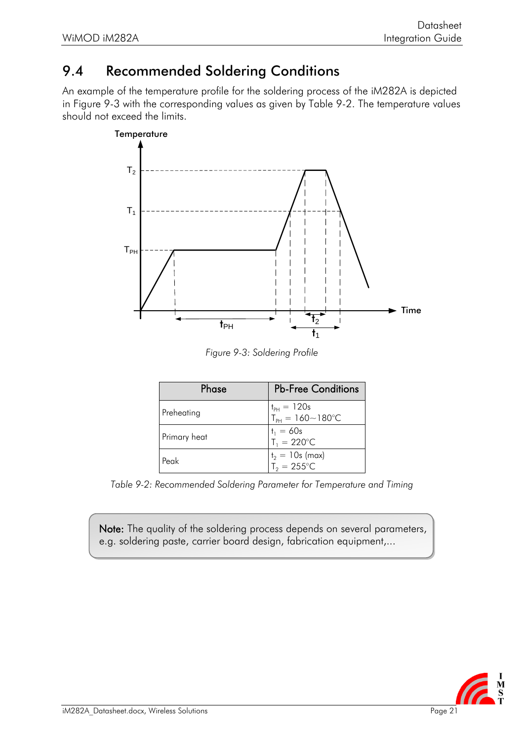#### <span id="page-21-0"></span>9.4 Recommended Soldering Conditions

An example of the temperature profile for the soldering process of the iM282A is depicted in [Figure](#page-21-1) 9-3 with the corresponding values as given by [Table](#page-21-2) 9-2. The temperature values should not exceed the limits.



*Figure 9-3: Soldering Profile*

<span id="page-21-1"></span>

| Phase        | <b>Pb-Free Conditions</b>                        |
|--------------|--------------------------------------------------|
| Preheating   | $t_{PH} = 120s$<br>$T_{PH} = 160 - 180^{\circ}C$ |
| Primary heat | $t_1 = 60s$<br>$T_1 = 220$ °C                    |
| Peak         | $t_2 = 10s$ (max)<br>$T_2 = 255^{\circ}C$        |

<span id="page-21-2"></span>*Table 9-2: Recommended Soldering Parameter for Temperature and Timing*

Note: The quality of the soldering process depends on several parameters, e.g. soldering paste, carrier board design, fabrication equipment,...

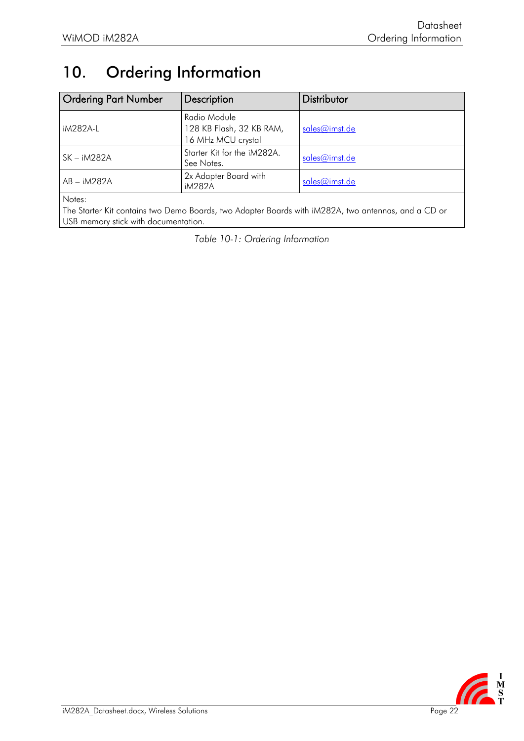## <span id="page-22-0"></span>10. Ordering Information

| <b>Ordering Part Number</b> | Description                                                    | Distributor   |
|-----------------------------|----------------------------------------------------------------|---------------|
| iM282A-L                    | Radio Module<br>128 KB Flash, 32 KB RAM,<br>16 MHz MCU crystal | sales@imst.de |
| SK – iM282A                 | Starter Kit for the iM282A.<br>See Notes.                      | sales@imst.de |
| $AB - iM282A$               | 2x Adapter Board with<br>iM282A                                | sales@imst.de |
| $k + 1$                     |                                                                |               |

Notes:

The Starter Kit contains two Demo Boards, two Adapter Boards with iM282A, two antennas, and a CD or USB memory stick with documentation.

*Table 10-1: Ordering Information*

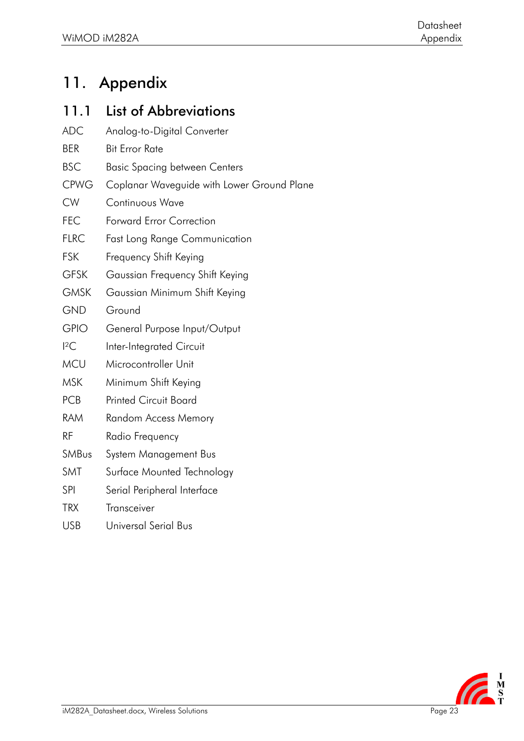## <span id="page-23-0"></span>11. Appendix

#### <span id="page-23-1"></span>11.1 List of Abbreviations

ADC Analog-to-Digital Converter BER Bit Error Rate BSC Basic Spacing between Centers CPWG Coplanar Waveguide with Lower Ground Plane CW Continuous Wave FEC Forward Error Correction FLRC Fast Long Range Communication FSK Frequency Shift Keying GFSK Gaussian Frequency Shift Keying GMSK Gaussian Minimum Shift Keying GND Ground GPIO General Purpose Input/Output I<sup>2</sup>C Inter-Integrated Circuit MCU Microcontroller Unit MSK Minimum Shift Keying PCB Printed Circuit Board RAM Random Access Memory RF Radio Frequency SMBus System Management Bus SMT [Surface Mounted Technology](http://de.wikipedia.org/wiki/Surface_Mounted_Technology) SPI Serial Peripheral Interface TRX Transceiver USB Universal Serial Bus

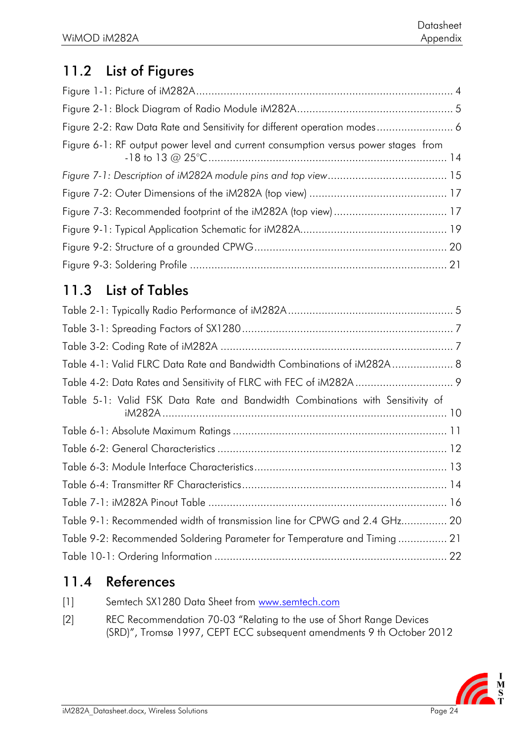## <span id="page-24-0"></span>11.2 List of Figures

| Figure 6-1: RF output power level and current consumption versus power stages from |  |
|------------------------------------------------------------------------------------|--|
|                                                                                    |  |
|                                                                                    |  |
|                                                                                    |  |
|                                                                                    |  |
|                                                                                    |  |
|                                                                                    |  |

### <span id="page-24-1"></span>11.3 List of Tables

| Table 4-1: Valid FLRC Data Rate and Bandwidth Combinations of iM282A 8        |
|-------------------------------------------------------------------------------|
|                                                                               |
| Table 5-1: Valid FSK Data Rate and Bandwidth Combinations with Sensitivity of |
|                                                                               |
|                                                                               |
|                                                                               |
|                                                                               |
|                                                                               |
| Table 9-1: Recommended width of transmission line for CPWG and 2.4 GHz 20     |
| Table 9-2: Recommended Soldering Parameter for Temperature and Timing 21      |
|                                                                               |

## <span id="page-24-2"></span>11.4 References

[2] REC Recommendation 70-03 "Relating to the use of Short Range Devices (SRD)", Tromsø 1997, CEPT ECC subsequent amendments 9 th October 2012

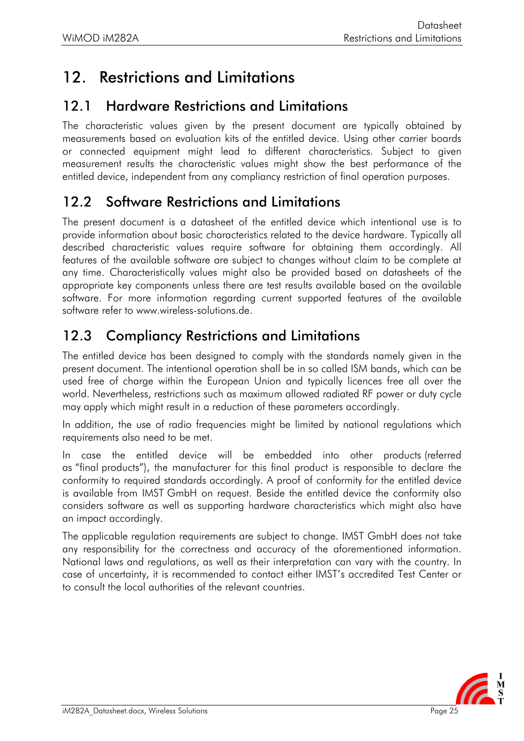## <span id="page-25-0"></span>12. Restrictions and Limitations

#### 12.1 Hardware Restrictions and Limitations

The characteristic values given by the present document are typically obtained by measurements based on evaluation kits of the entitled device. Using other carrier boards or connected equipment might lead to different characteristics. Subject to given measurement results the characteristic values might show the best performance of the entitled device, independent from any compliancy restriction of final operation purposes.

#### <span id="page-25-1"></span>12.2 Software Restrictions and Limitations

The present document is a datasheet of the entitled device which intentional use is to provide information about basic characteristics related to the device hardware. Typically all described characteristic values require software for obtaining them accordingly. All features of the available software are subject to changes without claim to be complete at any time. Characteristically values might also be provided based on datasheets of the appropriate key components unless there are test results available based on the available software. For more information regarding current supported features of the available software refer to www.wireless-solutions.de.

### <span id="page-25-2"></span>12.3 Compliancy Restrictions and Limitations

The entitled device has been designed to comply with the standards namely given in the present document. The intentional operation shall be in so called ISM bands, which can be used free of charge within the European Union and typically licences free all over the world. Nevertheless, restrictions such as maximum allowed radiated RF power or duty cycle may apply which might result in a reduction of these parameters accordingly.

In addition, the use of radio frequencies might be limited by national regulations which requirements also need to be met.

In case the entitled device will be embedded into other products (referred as "final products"), the manufacturer for this final product is responsible to declare the conformity to required standards accordingly. A proof of conformity for the entitled device is available from IMST GmbH on request. Beside the entitled device the conformity also considers software as well as supporting hardware characteristics which might also have an impact accordingly.

The applicable regulation requirements are subject to change. IMST GmbH does not take any responsibility for the correctness and accuracy of the aforementioned information. National laws and regulations, as well as their interpretation can vary with the country. In case of uncertainty, it is recommended to contact either IMST's accredited Test Center or to consult the local authorities of the relevant countries.

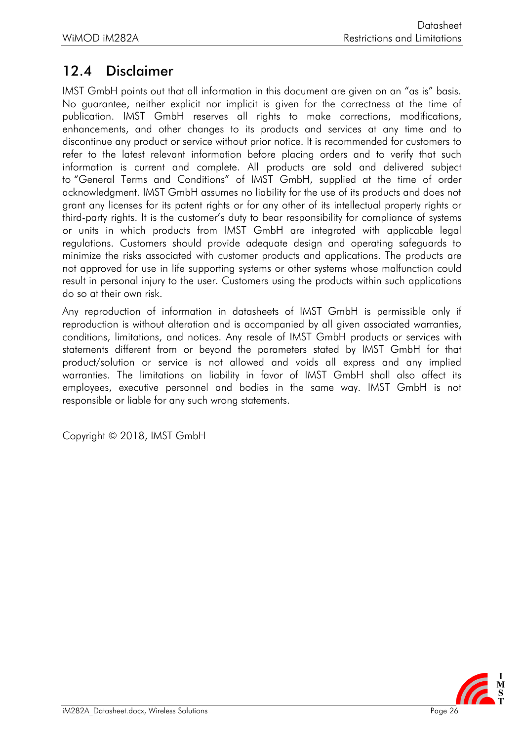#### <span id="page-26-0"></span>12.4 Disclaimer

IMST GmbH points out that all information in this document are given on an "as is" basis. No guarantee, neither explicit nor implicit is given for the correctness at the time of publication. IMST GmbH reserves all rights to make corrections, modifications, enhancements, and other changes to its products and services at any time and to discontinue any product or service without prior notice. It is recommended for customers to refer to the latest relevant information before placing orders and to verify that such information is current and complete. All products are sold and delivered subject to "General Terms and Conditions" of IMST GmbH, supplied at the time of order acknowledgment. IMST GmbH assumes no liability for the use of its products and does not grant any licenses for its patent rights or for any other of its intellectual property rights or third-party rights. It is the customer's duty to bear responsibility for compliance of systems or units in which products from IMST GmbH are integrated with applicable legal regulations. Customers should provide adequate design and operating safeguards to minimize the risks associated with customer products and applications. The products are not approved for use in life supporting systems or other systems whose malfunction could result in personal injury to the user. Customers using the products within such applications do so at their own risk.

Any reproduction of information in datasheets of IMST GmbH is permissible only if reproduction is without alteration and is accompanied by all given associated warranties, conditions, limitations, and notices. Any resale of IMST GmbH products or services with statements different from or beyond the parameters stated by IMST GmbH for that product/solution or service is not allowed and voids all express and any implied warranties. The limitations on liability in favor of IMST GmbH shall also affect its employees, executive personnel and bodies in the same way. IMST GmbH is not responsible or liable for any such wrong statements.

Copyright © 2018, IMST GmbH